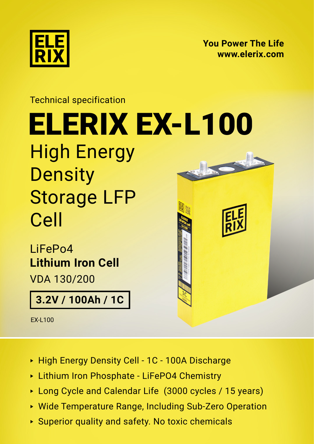

**[You Power The Life](https://elerix.com) [www.elerix.com](https://elerix.com)**

## Technical specification High Energy **Density** Storage LFP Cell [ELERIX](http://) [EX-L100](https://shop.gwl.eu/_d8011.html) LiFePo4

**Lithium Iron Cell** VDA 130/200

**3.2V / 100Ah / 1C**

EX-L100

- ► High Energy Density Cell 1C 100A Discharge
- ► Lithium Iron Phosphate LiFePO4 Chemistry
- ► Long Cycle and Calendar Life (3000 cycles / 15 years)
- ► Wide Temperature Range, Including Sub-Zero Operation
- ► Superior quality and safety. No toxic chemicals